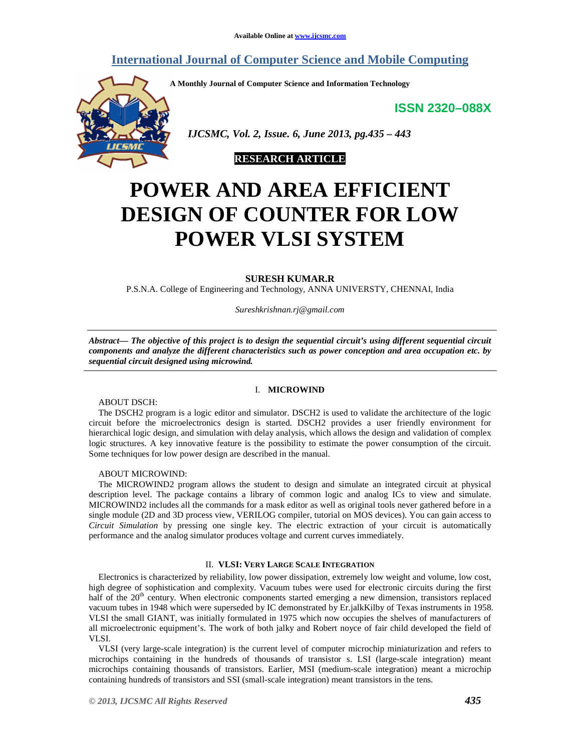# **International Journal of Computer Science and Mobile Computing**

**A Monthly Journal of Computer Science and Information Technology** 

**ISSN 2320–088X**



 *IJCSMC, Vol. 2, Issue. 6, June 2013, pg.435 – 443* 



# **POWER AND AREA EFFICIENT DESIGN OF COUNTER FOR LOW POWER VLSI SYSTEM**

#### **SURESH KUMAR.R**

P.S.N.A. College of Engineering and Technology, ANNA UNIVERSTY, CHENNAI, India

*Sureshkrishnan.rj@gmail.com* 

*Abstract— The objective of this project is to design the sequential circuit's using different sequential circuit components and analyze the different characteristics such as power conception and area occupation etc. by sequential circuit designed using microwind.* 

#### I. **MICROWIND**

ABOUT DSCH:

The DSCH2 program is a logic editor and simulator. DSCH2 is used to validate the architecture of the logic circuit before the microelectronics design is started. DSCH2 provides a user friendly environment for hierarchical logic design, and simulation with delay analysis, which allows the design and validation of complex logic structures. A key innovative feature is the possibility to estimate the power consumption of the circuit. Some techniques for low power design are described in the manual.

#### ABOUT MICROWIND:

The MICROWIND2 program allows the student to design and simulate an integrated circuit at physical description level. The package contains a library of common logic and analog ICs to view and simulate. MICROWIND2 includes all the commands for a mask editor as well as original tools never gathered before in a single module (2D and 3D process view, VERILOG compiler, tutorial on MOS devices). You can gain access to *Circuit Simulation* by pressing one single key. The electric extraction of your circuit is automatically performance and the analog simulator produces voltage and current curves immediately.

#### II. **VLSI: VERY LARGE SCALE INTEGRATION**

Electronics is characterized by reliability, low power dissipation, extremely low weight and volume, low cost, high degree of sophistication and complexity. Vacuum tubes were used for electronic circuits during the first half of the 20<sup>th</sup> century. When electronic components started emerging a new dimension, transistors replaced vacuum tubes in 1948 which were superseded by IC demonstrated by Er.jalkKilby of Texas instruments in 1958. VLSI the small GIANT, was initially formulated in 1975 which now occupies the shelves of manufacturers of all microelectronic equipment's. The work of both jalky and Robert noyce of fair child developed the field of VLSI.

VLSI (very large-scale integration) is the current level of computer microchip miniaturization and refers to microchips containing in the hundreds of thousands of transistor s. LSI (large-scale integration) meant microchips containing thousands of transistors. Earlier, MSI (medium-scale integration) meant a microchip containing hundreds of transistors and SSI (small-scale integration) meant transistors in the tens.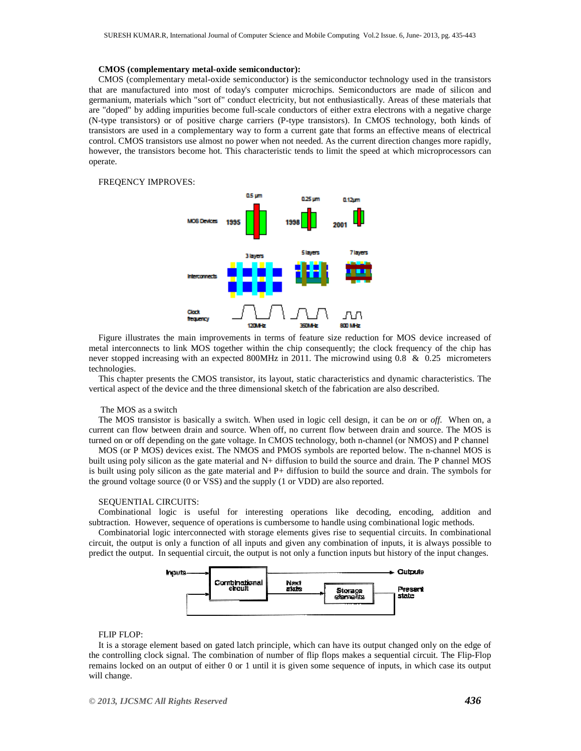#### **CMOS (complementary metal-oxide semiconductor):**

CMOS (complementary metal-oxide semiconductor) is the semiconductor technology used in the transistors that are manufactured into most of today's computer microchips. Semiconductors are made of silicon and germanium, materials which "sort of" conduct electricity, but not enthusiastically. Areas of these materials that are "doped" by adding impurities become full-scale conductors of either extra electrons with a negative charge (N-type transistors) or of positive charge carriers (P-type transistors). In CMOS technology, both kinds of transistors are used in a complementary way to form a current gate that forms an effective means of electrical control. CMOS transistors use almost no power when not needed. As the current direction changes more rapidly, however, the transistors become hot. This characteristic tends to limit the speed at which microprocessors can operate.

FREQENCY IMPROVES:



Figure illustrates the main improvements in terms of feature size reduction for MOS device increased of metal interconnects to link MOS together within the chip consequently; the clock frequency of the chip has never stopped increasing with an expected 800MHz in 2011. The microwind using 0.8 & 0.25 micrometers technologies.

This chapter presents the CMOS transistor, its layout, static characteristics and dynamic characteristics. The vertical aspect of the device and the three dimensional sketch of the fabrication are also described.

#### The MOS as a switch

The MOS transistor is basically a switch. When used in logic cell design, it can be *on* or *off*. When on, a current can flow between drain and source. When off, no current flow between drain and source. The MOS is turned on or off depending on the gate voltage. In CMOS technology, both n-channel (or NMOS) and P channel

MOS (or P MOS) devices exist. The NMOS and PMOS symbols are reported below. The n-channel MOS is built using poly silicon as the gate material and N+ diffusion to build the source and drain. The P channel MOS is built using poly silicon as the gate material and P+ diffusion to build the source and drain. The symbols for the ground voltage source (0 or VSS) and the supply (1 or VDD) are also reported.

#### SEQUENTIAL CIRCUITS:

Combinational logic is useful for interesting operations like decoding, encoding, addition and subtraction. However, sequence of operations is cumbersome to handle using combinational logic methods.

Combinatorial logic interconnected with storage elements gives rise to sequential circuits. In combinational circuit, the output is only a function of all inputs and given any combination of inputs, it is always possible to predict the output. In sequential circuit, the output is not only a function inputs but history of the input changes.



#### FLIP FLOP:

It is a storage element based on gated latch principle, which can have its output changed only on the edge of the controlling clock signal. The combination of number of flip flops makes a sequential circuit. The Flip-Flop remains locked on an output of either 0 or 1 until it is given some sequence of inputs, in which case its output will change.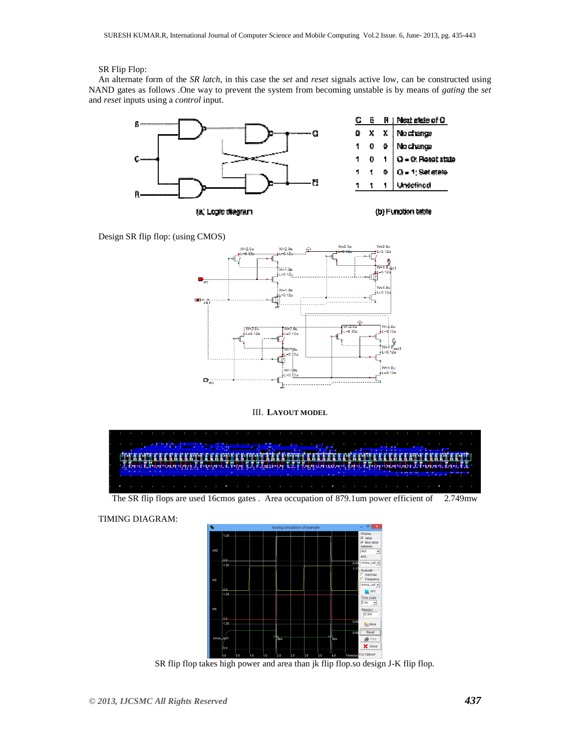## SR Flip Flop:

An alternate form of the *SR latch*, in this case the *set* and *reset* signals active low, can be constructed using NAND gates as follows .One way to prevent the system from becoming unstable is by means of *gating* the *set* and *reset* inputs using a *control* input.



Design SR flip flop: (using CMOS)



### III. **LAYOUT MODEL**

|  |  |  |  |  |  |  |  | <u> Andrew Harrison (1985)</u>                                                                                         |  |  |  |  |  |  |  |  |  |
|--|--|--|--|--|--|--|--|------------------------------------------------------------------------------------------------------------------------|--|--|--|--|--|--|--|--|--|
|  |  |  |  |  |  |  |  |                                                                                                                        |  |  |  |  |  |  |  |  |  |
|  |  |  |  |  |  |  |  |                                                                                                                        |  |  |  |  |  |  |  |  |  |
|  |  |  |  |  |  |  |  | <u>in Sandari Anggota (Anggota) ay kaominina amin'ny fivondronan-kaominin'i Americana ao amin'ny faritr'i Nord-A</u>   |  |  |  |  |  |  |  |  |  |
|  |  |  |  |  |  |  |  | <u> 1979 - An Dùbhlachd ann an Dùbhlachd ann an Dùbhlachd ann an Dùbhlachd ann an Dùbhlachd ann an Dùbhlachd ann a</u> |  |  |  |  |  |  |  |  |  |
|  |  |  |  |  |  |  |  |                                                                                                                        |  |  |  |  |  |  |  |  |  |
|  |  |  |  |  |  |  |  |                                                                                                                        |  |  |  |  |  |  |  |  |  |
|  |  |  |  |  |  |  |  | The CD flat flows are used 16 mess gates $\lambda$ we assumed an of 970 from normal efficient of $\alpha$ 7.40 mess    |  |  |  |  |  |  |  |  |  |

The SR flip flops are used 16cmos gates . Area occupation of 879.1um power efficient of 2.749mw

TIMING DIAGRAM:



SR flip flop takes high power and area than jk flip flop.so design J-K flip flop.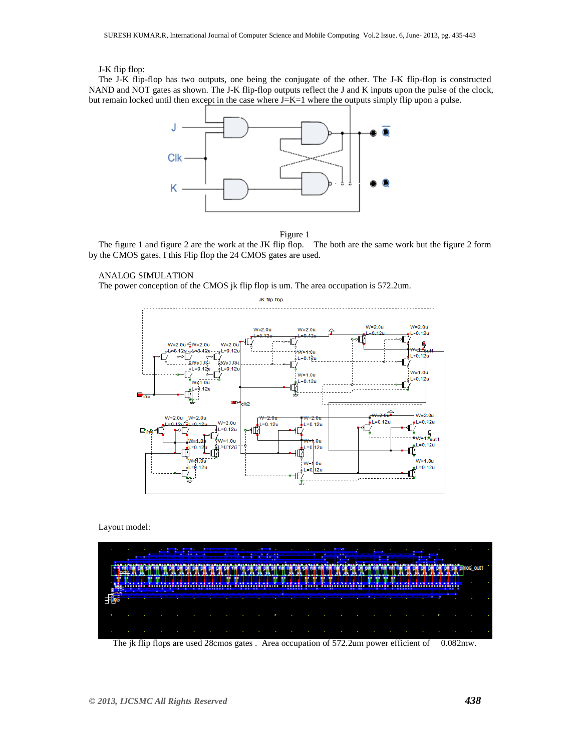## J-K flip flop:

The J-K flip-flop has two outputs, one being the conjugate of the other. The J-K flip-flop is constructed NAND and NOT gates as shown. The J-K flip-flop outputs reflect the J and K inputs upon the pulse of the clock, but remain locked until then except in the case where  $J=K=1$  where the outputs simply flip upon a pulse.





The figure 1 and figure 2 are the work at the JK flip flop. The both are the same work but the figure 2 form by the CMOS gates. I this Flip flop the 24 CMOS gates are used.

### ANALOG SIMULATION

The power conception of the CMOS jk flip flop is um. The area occupation is 572.2um.



Layout model:



The jk flip flops are used 28cmos gates . Area occupation of 572.2um power efficient of 0.082mw.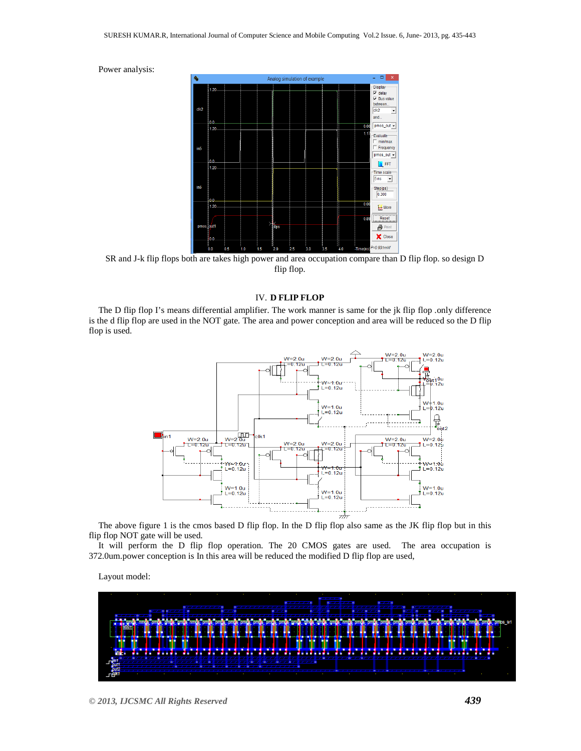



SR and J-k flip flops both are takes high power and area occupation compare than D flip flop. so design D flip flop.

#### IV. **D FLIP FLOP**

The D flip flop I's means differential amplifier. The work manner is same for the jk flip flop .only difference is the d flip flop are used in the NOT gate. The area and power conception and area will be reduced so the D flip flop is used.



The above figure 1 is the cmos based D flip flop. In the D flip flop also same as the JK flip flop but in this flip flop NOT gate will be used.

It will perform the D flip flop operation. The 20 CMOS gates are used. The area occupation is 372.0um.power conception is In this area will be reduced the modified D flip flop are used,

Layout model:

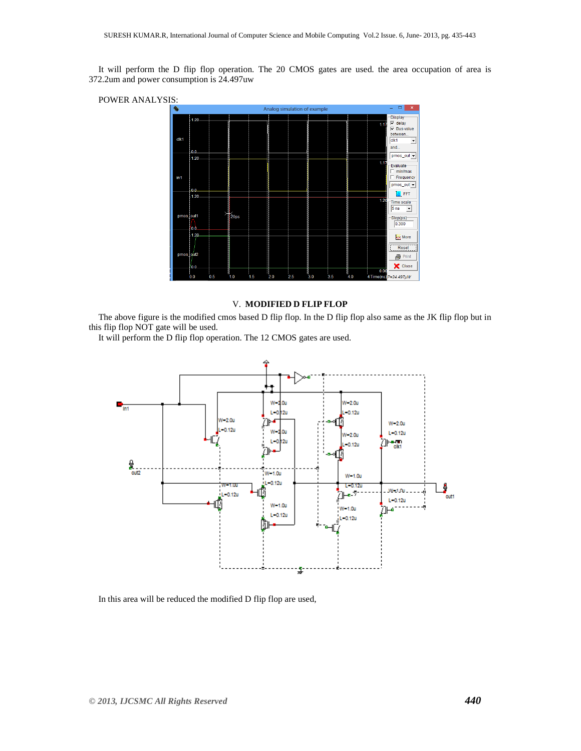It will perform the D flip flop operation. The 20 CMOS gates are used. the area occupation of area is 372.2um and power consumption is 24.497uw





## V. **MODIFIED D FLIP FLOP**

The above figure is the modified cmos based D flip flop. In the D flip flop also same as the JK flip flop but in this flip flop NOT gate will be used.

It will perform the D flip flop operation. The 12 CMOS gates are used.



In this area will be reduced the modified D flip flop are used,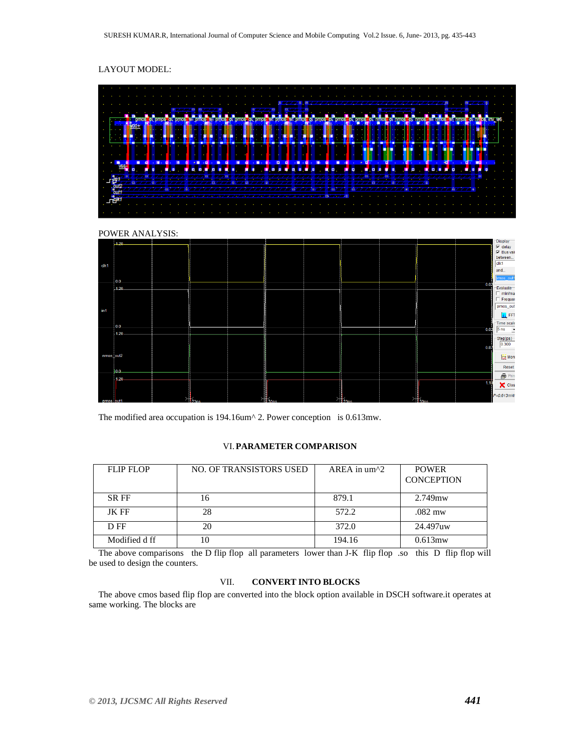# LAYOUT MODEL:







The modified area occupation is 194.16um<sup> $\land$ </sup> 2. Power conception is 0.613mw.

## VI.**PARAMETER COMPARISON**

| <b>FLIP FLOP</b> | <b>NO. OF TRANSISTORS USED</b> | $AREA$ in $um^2$ | <b>POWER</b><br><b>CONCEPTION</b> |
|------------------|--------------------------------|------------------|-----------------------------------|
| <b>SRFF</b>      | 16                             | 879.1            | 2.749mw                           |
| <b>JK FF</b>     | 28                             | 572.2            | .082 mw                           |
| D FF             | 20                             | 372.0            | 24.497uw                          |
| Modified d ff    | 10                             | 194.16           | $0.613$ mw                        |

The above comparisons the D flip flop all parameters lower than J-K flip flop so this D flip flop will be used to design the counters.

## VII. **CONVERT INTO BLOCKS**

The above cmos based flip flop are converted into the block option available in DSCH software.it operates at same working. The blocks are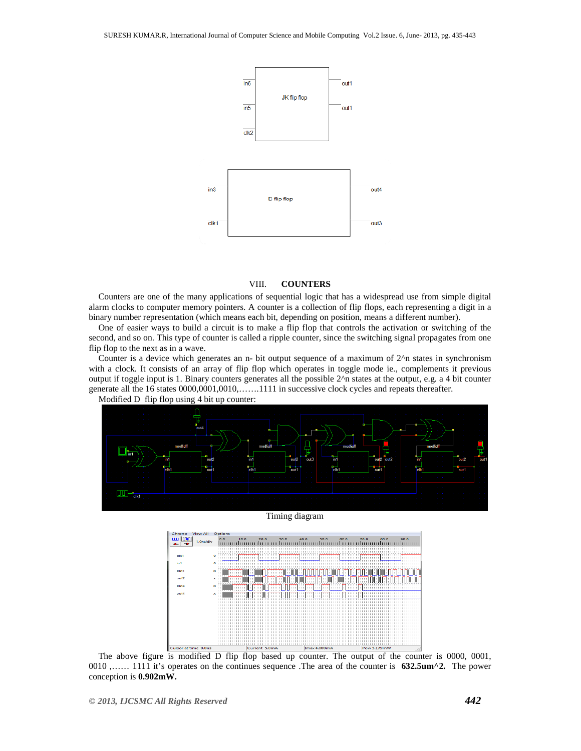

#### VIII. **COUNTERS**

Counters are one of the many applications of sequential logic that has a widespread use from simple digital alarm clocks to computer memory pointers. A counter is a collection of flip flops, each representing a digit in a binary number representation (which means each bit, depending on position, means a different number).

One of easier ways to build a circuit is to make a flip flop that controls the activation or switching of the second, and so on. This type of counter is called a ripple counter, since the switching signal propagates from one flip flop to the next as in a wave.

Counter is a device which generates an n- bit output sequence of a maximum of 2^n states in synchronism with a clock. It consists of an array of flip flop which operates in toggle mode ie., complements it previous output if toggle input is 1. Binary counters generates all the possible 2^n states at the output, e.g. a 4 bit counter generate all the 16 states 0000,0001,0010,…….1111 in successive clock cycles and repeats thereafter.



#### Timing diagram



The above figure is modified D flip flop based up counter. The output of the counter is 0000, 0001, 0010 ,…… 1111 it's operates on the continues sequence .The area of the counter is **632.5um^2.** The power conception is **0.902mW.**